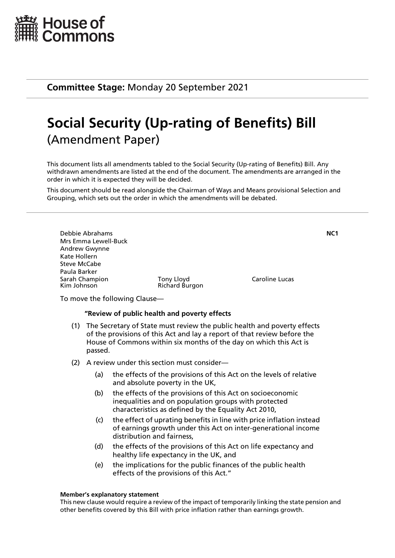

**Committee Stage:** Monday 20 September 2021

# **Social Security (Up-rating of Benefits) Bill** (Amendment Paper)

This document lists all amendments tabled to the Social Security (Up-rating of Benefits) Bill. Any withdrawn amendments are listed at the end of the document. The amendments are arranged in the order in which it is expected they will be decided.

This document should be read alongside the Chairman of Ways and Means provisional Selection and Grouping, which sets out the order in which the amendments will be debated.



To move the following Clause—

## **"Review of public health and poverty effects**

(1) The Secretary of State must review the public health and poverty effects of the provisions of this Act and lay a report of that review before the House of Commons within six months of the day on which this Act is passed.

## (2) A review under this section must consider—

- (a) the effects of the provisions of this Act on the levels of relative and absolute poverty in the UK,
- (b) the effects of the provisions of this Act on socioeconomic inequalities and on population groups with protected characteristics as defined by the Equality Act 2010,
- (c) the effect of uprating benefits in line with price inflation instead of earnings growth under this Act on inter-generational income distribution and fairness,
- (d) the effects of the provisions of this Act on life expectancy and healthy life expectancy in the UK, and
- (e) the implications for the public finances of the public health effects of the provisions of this Act."

### **Member's explanatory statement**

This new clause would require a review of the impact of temporarily linking the state pension and other benefits covered by this Bill with price inflation rather than earnings growth.